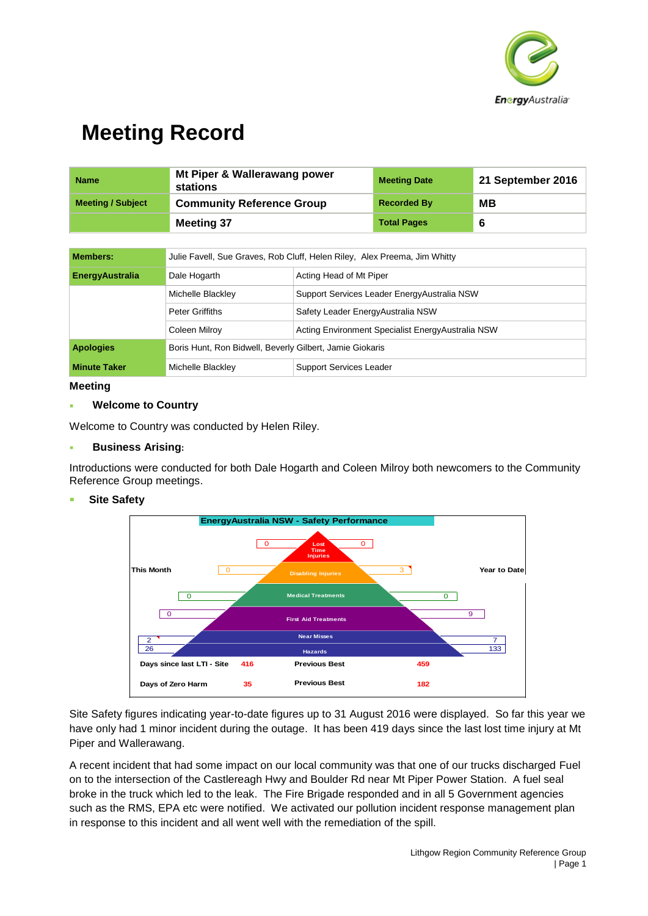

| <b>Name</b>              | Mt Piper & Wallerawang power<br>stations | <b>Meeting Date</b> | 21 September 2016 |
|--------------------------|------------------------------------------|---------------------|-------------------|
| <b>Meeting / Subject</b> | <b>Community Reference Group</b>         | <b>Recorded By</b>  | MВ                |
|                          | <b>Meeting 37</b>                        | <b>Total Pages</b>  |                   |

| <b>Members:</b>        | Julie Favell, Sue Graves, Rob Cluff, Helen Riley, Alex Preema, Jim Whitty |                                                    |  |
|------------------------|---------------------------------------------------------------------------|----------------------------------------------------|--|
| <b>EnergyAustralia</b> | Acting Head of Mt Piper<br>Dale Hogarth                                   |                                                    |  |
|                        | Michelle Blackley                                                         | Support Services Leader Energy Australia NSW       |  |
|                        | Peter Griffiths                                                           | Safety Leader Energy Australia NSW                 |  |
|                        | Coleen Milroy                                                             | Acting Environment Specialist Energy Australia NSW |  |
| <b>Apologies</b>       | Boris Hunt, Ron Bidwell, Beverly Gilbert, Jamie Giokaris                  |                                                    |  |
| <b>Minute Taker</b>    | <b>Support Services Leader</b><br>Michelle Blackley                       |                                                    |  |

## **Meeting**

## **Welcome to Country**

Welcome to Country was conducted by Helen Riley.

## **Business Arising:**

Introductions were conducted for both Dale Hogarth and Coleen Milroy both newcomers to the Community Reference Group meetings.

## **Site Safety**



Site Safety figures indicating year-to-date figures up to 31 August 2016 were displayed. So far this year we have only had 1 minor incident during the outage. It has been 419 days since the last lost time injury at Mt Piper and Wallerawang.

A recent incident that had some impact on our local community was that one of our trucks discharged Fuel on to the intersection of the Castlereagh Hwy and Boulder Rd near Mt Piper Power Station. A fuel seal broke in the truck which led to the leak. The Fire Brigade responded and in all 5 Government agencies such as the RMS, EPA etc were notified. We activated our pollution incident response management plan in response to this incident and all went well with the remediation of the spill.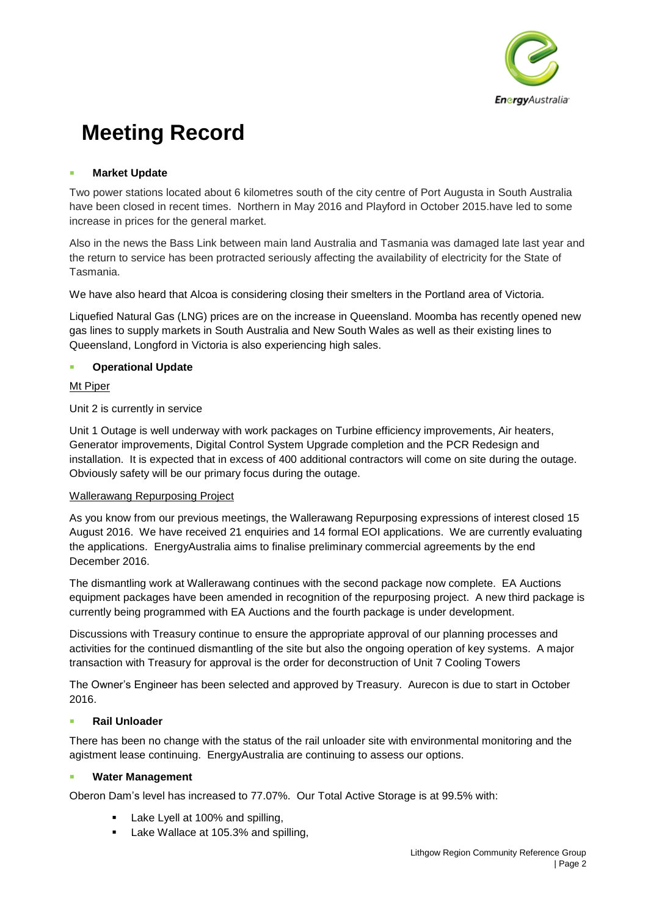

## **Market Update**

Two power stations located about 6 kilometres south of the city centre of Port Augusta in South Australia have been closed in recent times. Northern in May 2016 and Playford in October 2015.have led to some increase in prices for the general market.

Also in the news the Bass Link between main land Australia and Tasmania was damaged late last year and the return to service has been protracted seriously affecting the availability of electricity for the State of Tasmania.

We have also heard that Alcoa is considering closing their smelters in the Portland area of Victoria.

Liquefied Natural Gas (LNG) prices are on the increase in Queensland. Moomba has recently opened new gas lines to supply markets in South Australia and New South Wales as well as their existing lines to Queensland, Longford in Victoria is also experiencing high sales.

# **Operational Update**

# Mt Piper

Unit 2 is currently in service

Unit 1 Outage is well underway with work packages on Turbine efficiency improvements, Air heaters, Generator improvements, Digital Control System Upgrade completion and the PCR Redesign and installation. It is expected that in excess of 400 additional contractors will come on site during the outage. Obviously safety will be our primary focus during the outage.

# Wallerawang Repurposing Project

As you know from our previous meetings, the Wallerawang Repurposing expressions of interest closed 15 August 2016. We have received 21 enquiries and 14 formal EOI applications. We are currently evaluating the applications. EnergyAustralia aims to finalise preliminary commercial agreements by the end December 2016.

The dismantling work at Wallerawang continues with the second package now complete. EA Auctions equipment packages have been amended in recognition of the repurposing project. A new third package is currently being programmed with EA Auctions and the fourth package is under development.

Discussions with Treasury continue to ensure the appropriate approval of our planning processes and activities for the continued dismantling of the site but also the ongoing operation of key systems. A major transaction with Treasury for approval is the order for deconstruction of Unit 7 Cooling Towers

The Owner's Engineer has been selected and approved by Treasury. Aurecon is due to start in October 2016.

# **Rail Unloader**

There has been no change with the status of the rail unloader site with environmental monitoring and the agistment lease continuing. EnergyAustralia are continuing to assess our options.

## **Water Management**

Oberon Dam's level has increased to 77.07%. Our Total Active Storage is at 99.5% with:

- Lake Lyell at 100% and spilling,
- Lake Wallace at 105.3% and spilling,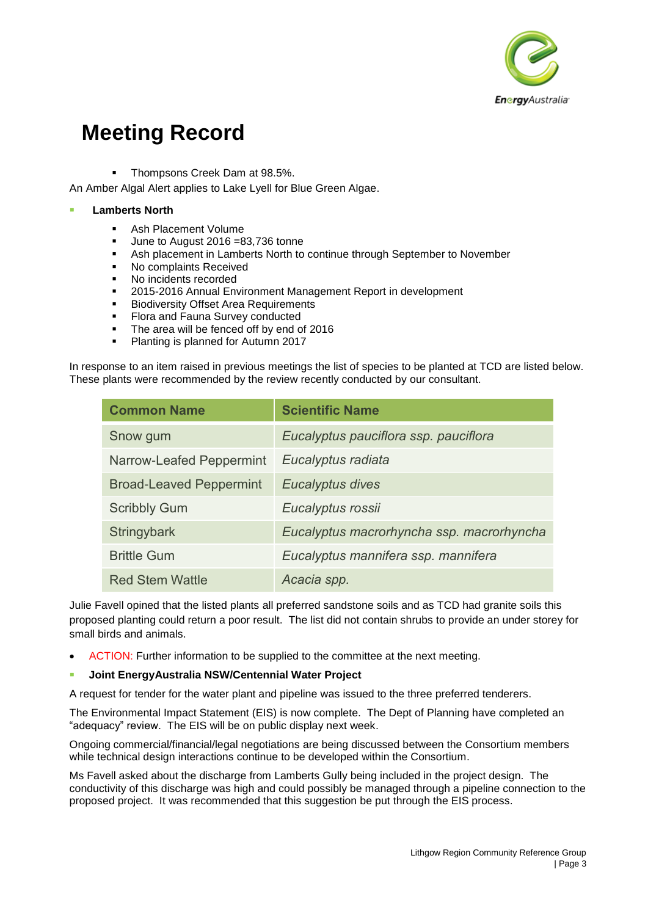

Thompsons Creek Dam at 98.5%.

An Amber Algal Alert applies to Lake Lyell for Blue Green Algae.

#### **Lamberts North**

- Ash Placement Volume
- June to August 2016 =83,736 tonne
- Ash placement in Lamberts North to continue through September to November
- No complaints Received
- No incidents recorded
- **2015-2016 Annual Environment Management Report in development**
- **Biodiversity Offset Area Requirements**
- **Flora and Fauna Survey conducted**
- The area will be fenced off by end of 2016
- **Planting is planned for Autumn 2017**

In response to an item raised in previous meetings the list of species to be planted at TCD are listed below. These plants were recommended by the review recently conducted by our consultant.

| <b>Common Name</b>             | <b>Scientific Name</b>                    |
|--------------------------------|-------------------------------------------|
| Snow gum                       | Eucalyptus pauciflora ssp. pauciflora     |
| Narrow-Leafed Peppermint       | Eucalyptus radiata                        |
| <b>Broad-Leaved Peppermint</b> | Eucalyptus dives                          |
| <b>Scribbly Gum</b>            | Eucalyptus rossii                         |
| Stringybark                    | Eucalyptus macrorhyncha ssp. macrorhyncha |
| <b>Brittle Gum</b>             | Eucalyptus mannifera ssp. mannifera       |
| <b>Red Stem Wattle</b>         | Acacia spp.                               |

Julie Favell opined that the listed plants all preferred sandstone soils and as TCD had granite soils this proposed planting could return a poor result. The list did not contain shrubs to provide an under storey for small birds and animals.

- ACTION: Further information to be supplied to the committee at the next meeting.
- **Joint EnergyAustralia NSW/Centennial Water Project**

A request for tender for the water plant and pipeline was issued to the three preferred tenderers.

The Environmental Impact Statement (EIS) is now complete. The Dept of Planning have completed an "adequacy" review. The EIS will be on public display next week.

Ongoing commercial/financial/legal negotiations are being discussed between the Consortium members while technical design interactions continue to be developed within the Consortium.

Ms Favell asked about the discharge from Lamberts Gully being included in the project design. The conductivity of this discharge was high and could possibly be managed through a pipeline connection to the proposed project. It was recommended that this suggestion be put through the EIS process.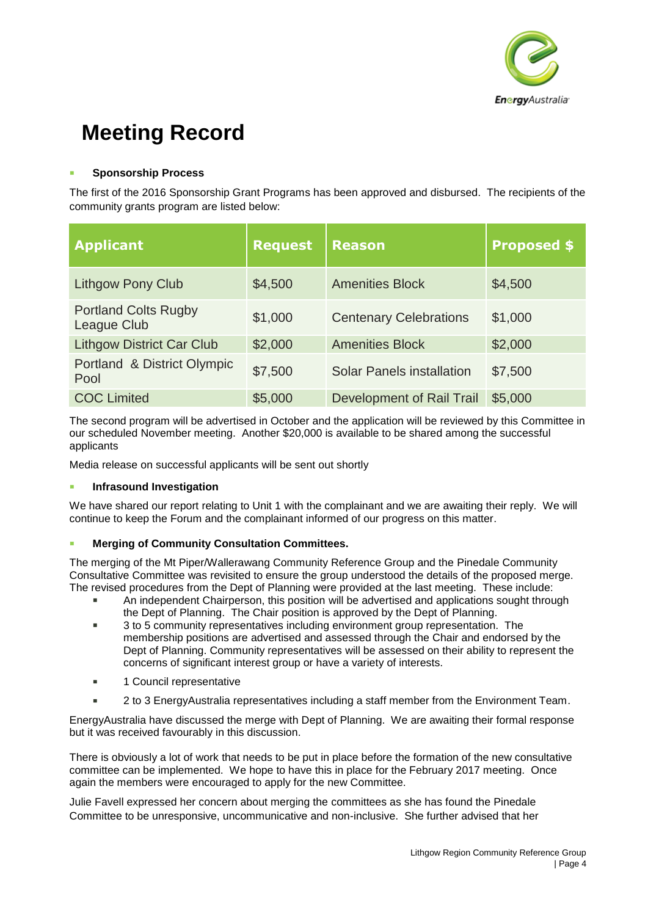

## **Sponsorship Process**

The first of the 2016 Sponsorship Grant Programs has been approved and disbursed. The recipients of the community grants program are listed below:

| <b>Applicant</b>                           | <b>Request</b> | <b>Reason</b>                    | <b>Proposed \$</b> |
|--------------------------------------------|----------------|----------------------------------|--------------------|
| <b>Lithgow Pony Club</b>                   | \$4,500        | <b>Amenities Block</b>           | \$4,500            |
| <b>Portland Colts Rugby</b><br>League Club | \$1,000        | <b>Centenary Celebrations</b>    | \$1,000            |
| <b>Lithgow District Car Club</b>           | \$2,000        | <b>Amenities Block</b>           | \$2,000            |
| Portland & District Olympic<br>Pool        | \$7,500        | <b>Solar Panels installation</b> | \$7,500            |
| <b>COC Limited</b>                         | \$5,000        | Development of Rail Trail        | \$5,000            |

The second program will be advertised in October and the application will be reviewed by this Committee in our scheduled November meeting. Another \$20,000 is available to be shared among the successful applicants

Media release on successful applicants will be sent out shortly

## **Infrasound Investigation**

We have shared our report relating to Unit 1 with the complainant and we are awaiting their reply. We will continue to keep the Forum and the complainant informed of our progress on this matter.

# **Merging of Community Consultation Committees.**

The merging of the Mt Piper/Wallerawang Community Reference Group and the Pinedale Community Consultative Committee was revisited to ensure the group understood the details of the proposed merge. The revised procedures from the Dept of Planning were provided at the last meeting. These include:

- An independent Chairperson, this position will be advertised and applications sought through the Dept of Planning. The Chair position is approved by the Dept of Planning.
- 3 to 5 community representatives including environment group representation. The membership positions are advertised and assessed through the Chair and endorsed by the Dept of Planning. Community representatives will be assessed on their ability to represent the concerns of significant interest group or have a variety of interests.
- **1** Council representative
- 2 to 3 EnergyAustralia representatives including a staff member from the Environment Team.

EnergyAustralia have discussed the merge with Dept of Planning. We are awaiting their formal response but it was received favourably in this discussion.

There is obviously a lot of work that needs to be put in place before the formation of the new consultative committee can be implemented. We hope to have this in place for the February 2017 meeting. Once again the members were encouraged to apply for the new Committee.

Julie Favell expressed her concern about merging the committees as she has found the Pinedale Committee to be unresponsive, uncommunicative and non-inclusive. She further advised that her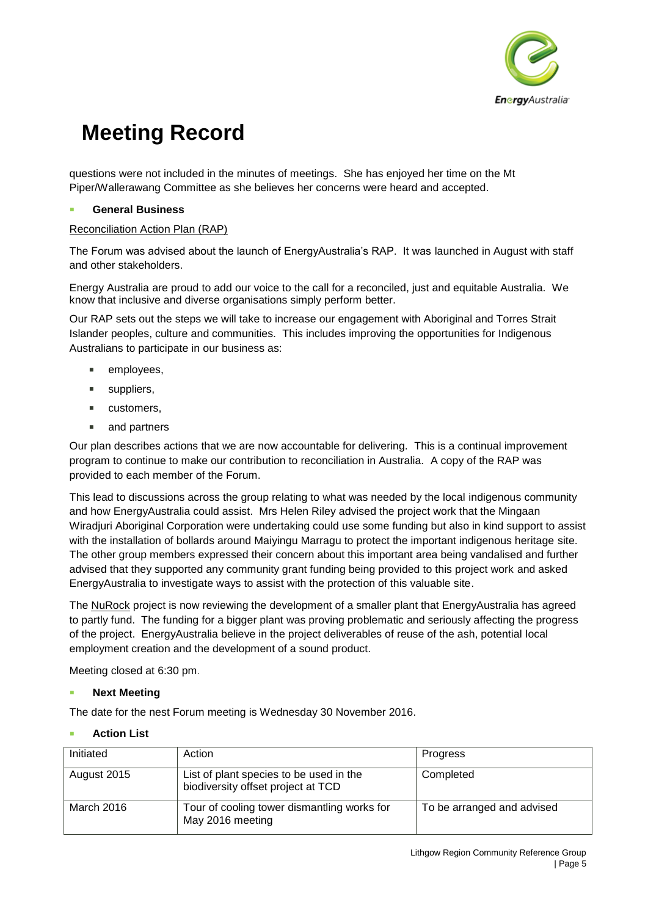

questions were not included in the minutes of meetings. She has enjoyed her time on the Mt Piper/Wallerawang Committee as she believes her concerns were heard and accepted.

## **General Business**

## Reconciliation Action Plan (RAP)

The Forum was advised about the launch of EnergyAustralia's RAP. It was launched in August with staff and other stakeholders.

Energy Australia are proud to add our voice to the call for a reconciled, just and equitable Australia. We know that inclusive and diverse organisations simply perform better.

Our RAP sets out the steps we will take to increase our engagement with Aboriginal and Torres Strait Islander peoples, culture and communities. This includes improving the opportunities for Indigenous Australians to participate in our business as:

- employees,
- **suppliers**,
- **u** customers,
- and partners

Our plan describes actions that we are now accountable for delivering. This is a continual improvement program to continue to make our contribution to reconciliation in Australia. A copy of the RAP was provided to each member of the Forum.

This lead to discussions across the group relating to what was needed by the local indigenous community and how EnergyAustralia could assist. Mrs Helen Riley advised the project work that the Mingaan Wiradjuri Aboriginal Corporation were undertaking could use some funding but also in kind support to assist with the installation of bollards around Maiyingu Marragu to protect the important indigenous heritage site. The other group members expressed their concern about this important area being vandalised and further advised that they supported any community grant funding being provided to this project work and asked EnergyAustralia to investigate ways to assist with the protection of this valuable site.

The NuRock project is now reviewing the development of a smaller plant that EnergyAustralia has agreed to partly fund. The funding for a bigger plant was proving problematic and seriously affecting the progress of the project. EnergyAustralia believe in the project deliverables of reuse of the ash, potential local employment creation and the development of a sound product.

Meeting closed at 6:30 pm.

## **Next Meeting**

The date for the nest Forum meeting is Wednesday 30 November 2016.

## **Action List**

| Initiated   | Action                                                                        | <b>Progress</b>            |
|-------------|-------------------------------------------------------------------------------|----------------------------|
| August 2015 | List of plant species to be used in the<br>biodiversity offset project at TCD | Completed                  |
| March 2016  | Tour of cooling tower dismantling works for<br>May 2016 meeting               | To be arranged and advised |